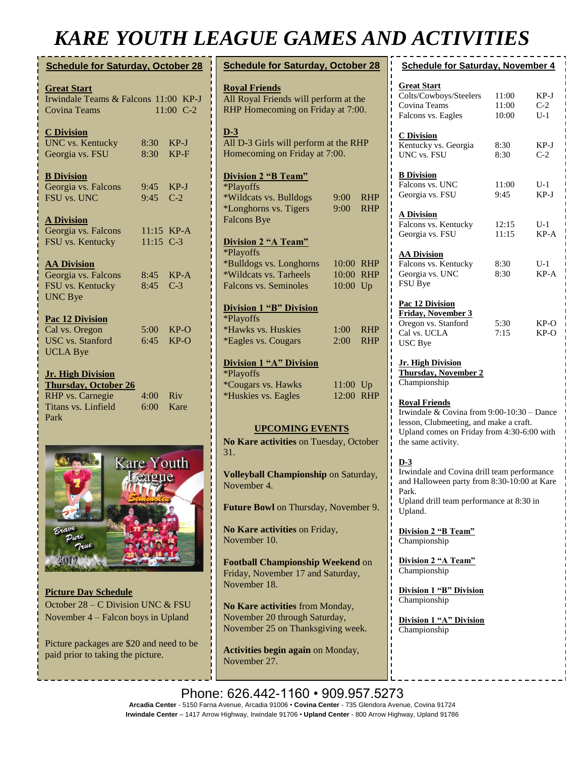# *KARE YOUTH LEAGUE GAMES AND ACTIVITIES*

| <b>Schedule for Saturday, October 28</b>                                                       |                    |                  |  |  |  |
|------------------------------------------------------------------------------------------------|--------------------|------------------|--|--|--|
| <b>Great Start</b><br>Irwindale Teams & Falcons 11:00 KP-J<br>11:00 C-2<br><b>Covina Teams</b> |                    |                  |  |  |  |
| <b>C</b> Division<br><b>UNC</b> vs. Kentucky<br>Georgia vs. FSU                                | 8:30<br>8:30       | $KP-J$<br>$KP-F$ |  |  |  |
| <b>B</b> Division<br>Georgia vs. Falcons<br>FSU vs. UNC                                        | 9:45<br>9:45       | $KP-J$<br>$C-2$  |  |  |  |
| <b>A Division</b><br>Georgia vs. Falcons<br>FSU vs. Kentucky                                   | $11:15$ C-3        | $11:15$ KP-A     |  |  |  |
| <b>AA Division</b><br>Georgia vs. Falcons<br>FSU vs. Kentucky<br><b>UNC Bye</b>                | 8:45<br>8:45       | $KP-A$<br>$C-3$  |  |  |  |
| Pac 12 Division<br>Cal vs. Oregon<br><b>USC</b> vs. Stanford                                   | $5:00^{-}$<br>6:45 | $KP-O$<br>$KP-O$ |  |  |  |
| <b>UCLA Bye</b><br><b>Jr. High Division</b><br><b>Thursday, October 26</b>                     |                    |                  |  |  |  |
| <b>RHP</b> vs. Carnegie<br>Titans vs. Linfield<br>Park                                         | 4:00<br>6:00       | Riv<br>Kare      |  |  |  |



**Picture Day Schedule** October 28 – C Division UNC & FSU November 4 – Falcon boys in Upland

Picture packages are \$20 and need to be paid prior to taking the picture.

| <b>Schedule for Saturday, October 28</b>                                                           |            |            |  |  |
|----------------------------------------------------------------------------------------------------|------------|------------|--|--|
| <b>Royal Friends</b><br>All Royal Friends will perform at the<br>RHP Homecoming on Friday at 7:00. |            |            |  |  |
| $D-3$<br>All D-3 Girls will perform at the RHP<br>Homecoming on Friday at 7:00.                    |            |            |  |  |
| <b>Division 2 "B Team"</b>                                                                         |            |            |  |  |
| *Playoffs                                                                                          |            |            |  |  |
| *Wildcats vs. Bulldogs                                                                             | $9:00^{-}$ | <b>RHP</b> |  |  |
| *Longhorns vs. Tigers                                                                              | $9:00^{-}$ | <b>RHP</b> |  |  |
| <b>Falcons Bye</b>                                                                                 |            |            |  |  |
| <b>Division 2 "A Team"</b>                                                                         |            |            |  |  |
| *Playoffs                                                                                          |            |            |  |  |
| *Bulldogs vs. Longhorns                                                                            | 10:00      | <b>RHP</b> |  |  |
| *Wildcats vs. Tarheels                                                                             | 10:00      | <b>RHP</b> |  |  |
| <b>Falcons vs. Seminoles</b>                                                                       | 10:00      | Up         |  |  |
| <b>Division 1 "B" Division</b>                                                                     |            |            |  |  |
| *Playoffs                                                                                          |            |            |  |  |
| *Hawks vs. Huskies                                                                                 | $1:00^-$   | <b>RHP</b> |  |  |
| <i>*Eagles vs. Cougars</i>                                                                         | 2:00       | RHP        |  |  |
| <b>Division 1 "A" Division</b><br>*Playoffs                                                        |            |            |  |  |
| <i>*Cougars vs. Hawks</i>                                                                          | 11:00 Up   |            |  |  |
| *Huskies vs. Eagles                                                                                | 12:00      | <b>RHP</b> |  |  |
|                                                                                                    |            |            |  |  |
| <b>UPCOMING EVENTS</b>                                                                             |            |            |  |  |
| No Kare activities on Tuesday, October                                                             |            |            |  |  |
| 31.                                                                                                |            |            |  |  |

**Volleyball Championship** on Saturday, November 4.

**Future Bowl** on Thursday, November 9.

**No Kare activities** on Friday, November 10.

**Football Championship Weekend** on Friday, November 17 and Saturday, November 18.

**No Kare activities** from Monday, November 20 through Saturday, November 25 on Thanksgiving week.

**Activities begin again** on Monday, November 27.

|        | <b>Schedule for Saturday, November 4</b>                         |       |        |  |  |  |
|--------|------------------------------------------------------------------|-------|--------|--|--|--|
|        | <b>Great Start</b>                                               |       |        |  |  |  |
|        | Colts/Cowboys/Steelers                                           | 11:00 | KP-J   |  |  |  |
|        | Covina Teams                                                     | 11:00 | $C-2$  |  |  |  |
|        | Falcons vs. Eagles                                               | 10:00 | $U-1$  |  |  |  |
|        | <b>C</b> Division                                                |       |        |  |  |  |
|        | Kentucky vs. Georgia                                             | 8:30  | KP-J   |  |  |  |
|        | UNC vs. FSU                                                      | 8:30  | $C-2$  |  |  |  |
|        |                                                                  |       |        |  |  |  |
|        | <b>B</b> Division                                                |       |        |  |  |  |
|        | Falcons vs. UNC                                                  | 11:00 | $U-1$  |  |  |  |
|        | Georgia vs. FSU                                                  | 9:45  | $KP-J$ |  |  |  |
|        | <b>A Division</b>                                                |       |        |  |  |  |
|        | Falcons vs. Kentucky                                             | 12:15 | $U-1$  |  |  |  |
|        | Georgia vs. FSU                                                  | 11:15 | $KP-A$ |  |  |  |
|        |                                                                  |       |        |  |  |  |
|        | <b>AA Division</b>                                               |       |        |  |  |  |
|        | Falcons vs. Kentucky                                             | 8:30  | $U-1$  |  |  |  |
|        | Georgia vs. UNC<br>FSU Bye                                       | 8:30  | $KP-A$ |  |  |  |
|        |                                                                  |       |        |  |  |  |
|        | Pac 12 Division                                                  |       |        |  |  |  |
|        | <b>Friday, November 3</b>                                        |       |        |  |  |  |
|        | Oregon vs. Stanford                                              | 5:30  | KP-O   |  |  |  |
|        | Cal vs. UCLA                                                     | 7:15  | $KP-O$ |  |  |  |
|        | <b>USC</b> Bye                                                   |       |        |  |  |  |
|        |                                                                  |       |        |  |  |  |
|        | <u>Jr. High Division</u><br><b>Thursday, November 2</b>          |       |        |  |  |  |
|        | Championship                                                     |       |        |  |  |  |
|        |                                                                  |       |        |  |  |  |
|        | <b>Royal Friends</b>                                             |       |        |  |  |  |
|        | Irwindale & Covina from 9:00-10:30 - Dance                       |       |        |  |  |  |
|        | lesson, Clubmeeting, and make a craft.                           |       |        |  |  |  |
|        | Upland comes on Friday from 4:30-6:00 with<br>the same activity. |       |        |  |  |  |
|        |                                                                  |       |        |  |  |  |
|        | $D-3$                                                            |       |        |  |  |  |
|        | Irwindale and Covina drill team performance                      |       |        |  |  |  |
|        | and Halloween party from 8:30-10:00 at Kare                      |       |        |  |  |  |
| ı      | Park.                                                            |       |        |  |  |  |
|        | Upland drill team performance at 8:30 in                         |       |        |  |  |  |
|        | Upland.                                                          |       |        |  |  |  |
| ı      | Division 2 "B Team"                                              |       |        |  |  |  |
|        | Championship                                                     |       |        |  |  |  |
|        |                                                                  |       |        |  |  |  |
| ı      | Division 2 "A Team"                                              |       |        |  |  |  |
| ı      | Championship                                                     |       |        |  |  |  |
| ı      | <b>Division 1 "B" Division</b>                                   |       |        |  |  |  |
| ı      | Championship                                                     |       |        |  |  |  |
| ı<br>ı |                                                                  |       |        |  |  |  |
| ı      | Division 1 "A" Division                                          |       |        |  |  |  |
|        | Championship                                                     |       |        |  |  |  |